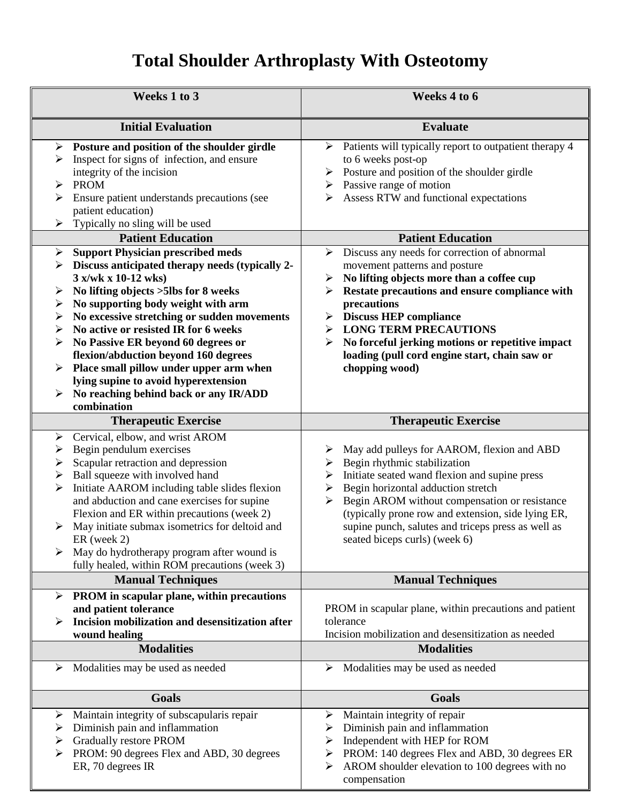## **Total Shoulder Arthroplasty With Osteotomy**

| Weeks 1 to 3                                                                                                                                                                                                                                                                                                                                                                                                                                                                                                                                    | Weeks 4 to 6                                                                                                                                                                                                                                                                                                                                                                        |
|-------------------------------------------------------------------------------------------------------------------------------------------------------------------------------------------------------------------------------------------------------------------------------------------------------------------------------------------------------------------------------------------------------------------------------------------------------------------------------------------------------------------------------------------------|-------------------------------------------------------------------------------------------------------------------------------------------------------------------------------------------------------------------------------------------------------------------------------------------------------------------------------------------------------------------------------------|
| <b>Initial Evaluation</b>                                                                                                                                                                                                                                                                                                                                                                                                                                                                                                                       | <b>Evaluate</b>                                                                                                                                                                                                                                                                                                                                                                     |
| Posture and position of the shoulder girdle<br>➤<br>Inspect for signs of infection, and ensure<br>➤<br>integrity of the incision<br><b>PROM</b><br>➤<br>➤<br>Ensure patient understands precautions (see<br>patient education)                                                                                                                                                                                                                                                                                                                  | Patients will typically report to outpatient therapy 4<br>➤<br>to 6 weeks post-op<br>Posture and position of the shoulder girdle<br>➤<br>$\triangleright$ Passive range of motion<br>Assess RTW and functional expectations<br>⋗                                                                                                                                                    |
| Typically no sling will be used<br>➤                                                                                                                                                                                                                                                                                                                                                                                                                                                                                                            |                                                                                                                                                                                                                                                                                                                                                                                     |
| <b>Patient Education</b>                                                                                                                                                                                                                                                                                                                                                                                                                                                                                                                        | <b>Patient Education</b><br>Discuss any needs for correction of abnormal<br>➤                                                                                                                                                                                                                                                                                                       |
| <b>Support Physician prescribed meds</b><br>➤<br>Discuss anticipated therapy needs (typically 2-<br>3 x/wk x 10-12 wks)<br>No lifting objects > 5lbs for 8 weeks<br>➤<br>No supporting body weight with arm<br>➤<br>No excessive stretching or sudden movements<br>➤<br>No active or resisted IR for 6 weeks<br>➤<br>No Passive ER beyond 60 degrees or<br>➤<br>flexion/abduction beyond 160 degrees<br>Place small pillow under upper arm when<br>lying supine to avoid hyperextension<br>No reaching behind back or any IR/ADD<br>combination | movement patterns and posture<br>No lifting objects more than a coffee cup<br>➤<br>Restate precautions and ensure compliance with<br>precautions<br><b>Discuss HEP compliance</b><br>➤<br><b>LONG TERM PRECAUTIONS</b><br>➤<br>No forceful jerking motions or repetitive impact<br>➤<br>loading (pull cord engine start, chain saw or<br>chopping wood)                             |
| <b>Therapeutic Exercise</b>                                                                                                                                                                                                                                                                                                                                                                                                                                                                                                                     | <b>Therapeutic Exercise</b>                                                                                                                                                                                                                                                                                                                                                         |
| Cervical, elbow, and wrist AROM<br>➤<br>Begin pendulum exercises<br>➤<br>Scapular retraction and depression<br>➤<br>Ball squeeze with involved hand<br>➤<br>Initiate AAROM including table slides flexion<br>➤<br>and abduction and cane exercises for supine<br>Flexion and ER within precautions (week 2)<br>May initiate submax isometrics for deltoid and<br>➤<br>$ER$ (week 2)<br>May do hydrotherapy program after wound is<br>fully healed, within ROM precautions (week 3)                                                              | May add pulleys for AAROM, flexion and ABD<br>➤<br>Begin rhythmic stabilization<br>Initiate seated wand flexion and supine press<br>➤<br>Begin horizontal adduction stretch<br>➤<br>Begin AROM without compensation or resistance<br>➤<br>(typically prone row and extension, side lying ER,<br>supine punch, salutes and triceps press as well as<br>seated biceps curls) (week 6) |
| <b>Manual Techniques</b>                                                                                                                                                                                                                                                                                                                                                                                                                                                                                                                        | <b>Manual Techniques</b>                                                                                                                                                                                                                                                                                                                                                            |
| PROM in scapular plane, within precautions<br>➤<br>and patient tolerance<br>Incision mobilization and desensitization after<br>➤<br>wound healing<br><b>Modalities</b>                                                                                                                                                                                                                                                                                                                                                                          | PROM in scapular plane, within precautions and patient<br>tolerance<br>Incision mobilization and desensitization as needed<br><b>Modalities</b>                                                                                                                                                                                                                                     |
| Modalities may be used as needed<br>➤                                                                                                                                                                                                                                                                                                                                                                                                                                                                                                           | Modalities may be used as needed<br>➤                                                                                                                                                                                                                                                                                                                                               |
| <b>Goals</b>                                                                                                                                                                                                                                                                                                                                                                                                                                                                                                                                    | <b>Goals</b>                                                                                                                                                                                                                                                                                                                                                                        |
| Maintain integrity of subscapularis repair<br>≻<br>Diminish pain and inflammation<br>➤<br><b>Gradually restore PROM</b><br>➤<br>PROM: 90 degrees Flex and ABD, 30 degrees<br>ER, 70 degrees IR                                                                                                                                                                                                                                                                                                                                                  | Maintain integrity of repair<br>➤<br>Diminish pain and inflammation<br>➤<br>Independent with HEP for ROM<br>➤<br>PROM: 140 degrees Flex and ABD, 30 degrees ER<br>➤<br>AROM shoulder elevation to 100 degrees with no<br>➤<br>compensation                                                                                                                                          |